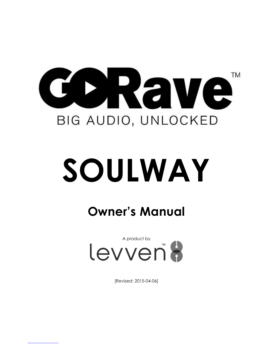

# **SOULWAY**

## **Owner's Manual**



[Revised: 2015-04-06]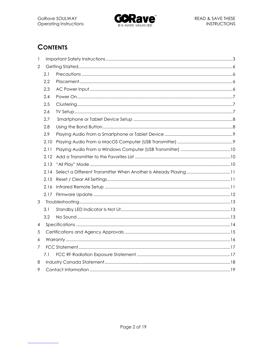

### **CONTENTS**

| $\mathbf{1}$   |      |  |  |  |  |
|----------------|------|--|--|--|--|
| $\overline{2}$ |      |  |  |  |  |
|                | 2.1  |  |  |  |  |
|                | 2.2  |  |  |  |  |
|                | 2.3  |  |  |  |  |
|                | 2.4  |  |  |  |  |
|                | 2.5  |  |  |  |  |
|                | 2.6  |  |  |  |  |
|                | 2.7  |  |  |  |  |
|                | 2.8  |  |  |  |  |
|                | 2.9  |  |  |  |  |
|                | 2.10 |  |  |  |  |
|                | 2.11 |  |  |  |  |
|                | 2.12 |  |  |  |  |
|                | 2.13 |  |  |  |  |
|                | 2.14 |  |  |  |  |
|                | 2.15 |  |  |  |  |
|                | 2.16 |  |  |  |  |
|                | 2.17 |  |  |  |  |
| 3              |      |  |  |  |  |
|                | 3.1  |  |  |  |  |
|                | 3.2  |  |  |  |  |
| 4              |      |  |  |  |  |
| 5              |      |  |  |  |  |
| 6              |      |  |  |  |  |
| 7              |      |  |  |  |  |
|                | 7.1  |  |  |  |  |
| 8              |      |  |  |  |  |
| 9              |      |  |  |  |  |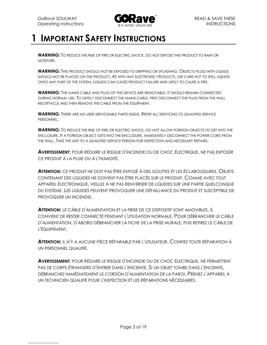

## **1 IMPORTANT SAFETY INSTRUCTIONS**

**WARNING:** TO REDUCE THE RISK OF FIRE OR ELECTRIC SHOCK, DO NOT EXPOSE THIS PRODUCT TO RAIN OR MOISTURE.

**WARNING:** THIS PRODUCT SHOULD NOT BE EXPOSED TO DRIPPING OR SPLASHING. OBJECTS FILLED WITH LIQUIDS SHOULD NOT BE PLACED ON THE PRODUCT. AS WITH ANY ELECTRONIC PRODUCTS, USE CARE NOT TO SPILL LIQUIDS ONTO ANY PART OF THE SYSTEM. LIQUIDS CAN CAUSE PRODUCT FAILURE AND LIKELY TO CAUSE A FIRE.

**WARNING:** THE MAINS CABLE AND PLUG OF THIS DEVICE ARE REMOVABLE. IT SHOULD REMAIN CONNECTED DURING NORMAL USE. TO SAFELY DISCONNECT THE MAINS CABLE, FIRST DISCONNECT THE PLUG FROM THE WALL RECEPTACLE AND THEN REMOVE THE CABLE FROM THE EQUIPMENT.

**WARNING:** THERE ARE NO USER SERVICEABLE PARTS INSIDE. REFER ALL SERVICING TO QUALIFIED SERVICE PERSONNEL.

**WARNING:** TO REDUCE THE RISK OF FIRE OR ELECTRIC SHOCK, DO NOT ALLOW FOREIGN OBJECTS TO GET INTO THE ENCLOSURE. IF A FOREIGN OBJECT GETS INTO THE ENCLOSURE, IMMEDIATELY DISCONNECT THE POWER CORD FROM THE WALL. TAKE THE UNIT TO A QUALIFIED SERVICE PERSON FOR INSPECTION AND NECESSARY REPAIRS.

**AVERTISSEMENT:** POUR RÉDUIRE LE RISQUE D'INCENDIE OU DE CHOC ÉLECTRIQUE, NE PAS EXPOSER CE PRODUIT À LA PLUIE OU À L'HUMIDITÉ.

**ATTENTION:** CE PRODUIT NE DOIT PAS ÊTRE EXPOSÉ À DES GOUTTES ET LES ÉCLABOUSSURES. OBJETS CONTENANT DES LIQUIDES NE DOIVENT PAS ÊTRE PLACÉS SUR LE PRODUIT. COMME AVEC TOUT APPAREIL ÉLECTRONIQUE, VEILLEZ À NE PAS RENVERSER DE LIQUIDES SUR UNE PARTIE QUELCONQUE DU SYSTÈME. LES LIQUIDES PEUVENT PROVOQUER UNE DÉFAILLANCE DU PRODUIT ET SUSCEPTIBLE DE PROVOQUER UN INCENDIE.

**ATTENTION:** LE CÂBLE D'ALIMENTATION ET LA PRISE DE CE DISPOSITIF SONT AMOVIBLES. IL CONVIENT DE RESTER CONNECTÉ PENDANT L'UTILISATION NORMALE. POUR DÉBRANCHER LE CÂBLE D'ALIMENTATION, D'ABORD DÉBRANCHER LA FICHE DE LA PRISE MURALE, PUIS RETIREZ LE CÂBLE DE L'ÉQUIPEMENT.

**ATTENTION:** IL N'Y A AUCUNE PIÈCE RÉPARABLE PAR L'UTILISATEUR. CONFIEZ TOUTE RÉPARATION À UN PERSONNEL QUALIFIÉ.

**AVERTISSEMENT:** POUR RÉDUIRE LE RISQUE D'INCENDIE OU DE CHOC ÉLECTRIQUE, NE PERMETTENT PAS DE CORPS ÉTRANGERS D'ENTRER DANS L'ENCEINTE. SI UN OBJET TOMBE DANS L'ENCEINTE, DÉBRANCHEZ IMMÉDIATEMENT LE CORDON D'ALIMENTATION DE LA PAROI. PRENEZ L'APPAREIL À UN TECHNICIEN QUALIFIÉ POUR L'INSPECTION ET LES RÉPARATIONS NÉCESSAIRES.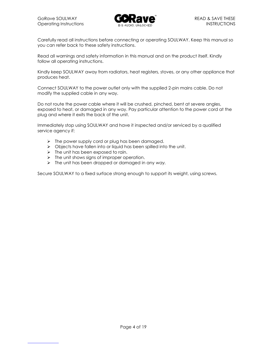

Carefully read all instructions before connecting or operating SOULWAY. Keep this manual so you can refer back to these safety instructions.

Read all warnings and safety information in this manual and on the product itself. Kindly follow all operating instructions.

Kindly keep SOULWAY away from radiators, heat registers, stoves, or any other appliance that produces heat.

Connect SOULWAY to the power outlet only with the supplied 2-pin mains cable. Do not modify the supplied cable in any way.

Do not route the power cable where it will be crushed, pinched, bent at severe angles, exposed to heat, or damaged in any way. Pay particular attention to the power cord at the plug and where it exits the back of the unit.

Immediately stop using SOULWAY and have it inspected and/or serviced by a qualified service agency if:

- $\triangleright$  The power supply cord or plug has been damaged.
- $\triangleright$  Objects have fallen into or liquid has been spilled into the unit.
- $\triangleright$  The unit has been exposed to rain.
- $\triangleright$  The unit shows signs of improper operation.
- The unit has been dropped or damaged in any *way.*

Secure SOULWAY to a fixed surface strong enough to support its weight, using screws.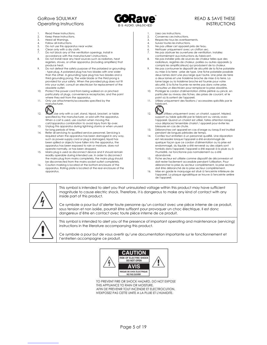

- Read these Instructions.
- 2. Keep these Instructions.<br>3. Heed all Warnings
- 3. Heed all Warnings. 4. Follow all instructions.
- 
- 5. Do not use this apparatus near water.
- 6. Clean only with a dry cloth.<br>7. Do not block any of the ver Do not block any of the ventilation openings. Install in
- accordance with the manufacturer's instructions.
- 8. Do not install near any heat sources such as radiators, heat registers, stoves, or other apparatus (including amplifiers) that produce heat.
- 9. Do not defeat the safety purpose of the polarized or grounding - type plug. A polarized plug has two blades with one wider than the other. A grounding type plug has two blades and a third grounding prong. The wide blade or the third prong is provided for your safety. When the provided plug does not fit into your outlet, consult an electrician for replacement of the obsolete outlet.
- 10. Protect the power cord from being walked on or pinched particularly at plugs, convenience receptacles, and the point where they exit from the apparatus.
- 11. Only use attachments/accessories specified by the manufacturer.



- 12. Use only with a cart, stand, tripod, bracket, or table specified by the manufacturer, or sold with the apparatus. When a cart is used, use caution when moving the cart/apparatus combination to avoid injury from tip-over.
- 13. Unplug this apparatus during lightning storms or when unused for long periods of time.
- 14. Refer all servicing to qualified service personnel. Servicing is required when the apparatus has been damaged in any way, such as power-supply cord or plug is damaged, liquid has been spilled or objects have fallen into the apparatus, the apparatus has been exposed to rain or moisture, does not operate normally, or has been dropped.
- 15. Mains plug is used as disconnect device and it should remain readily operable during intended use. In order to disconnect the mains plug from mains completely, the mains plug should be disconnected from the mains socket outlet completely.
- 16. Caution marking is located at the bottom enclosure of the apparatus. Rating plate is located at the rear enclosure of the apparatus.
- 1. Lisez ces instructions.
- 2. Conservez ces instructions.<br>3. Respectez tous les avertisses
- Respectez tous les avertissements. 4. Suivez toutes les instructions.
- 
- 5. Ne pas utiliser cet appareil près de l'eau.<br>6. Nettoyer uniquement avec un chiffon se
- 6. Nettoyer uniquement avec un chiffon sec. Ne pas obstruer les ouvertures de ventilation. Installez conformément aux instructions du fabricant.
- 8. Ne pas installer près de sources de chaleur telles que des radiateurs, registres de chaleur, poêles ou autres appareils (y compris les amplificateurs) qui produisent de la chaleur.
- 9. Ne pas contourner le dispositif de sécurité de la fiche polarisée ou mise à la terre - prise de type. Une fiche polarisée possède deux lames dont une plus large que l'autre. Une prise de terre a deux lames et une troisième broche de mise à la terre. La lame large ou la troisième broche est fournie pour votre sécurité. Si la fiche fournie ne rentre pas dans votre prise, consultez un électricien pour remplacer la prise obsolète.
- 10. Protéger le cordon d'alimentation d'être piétiné ou pincé, en particulier au niveau des fiches, des prises de courant, et le point où ils sortent de l'appareil.
- 11. Utilisez uniquement des fixations / accessoires spécifiés par le fabricant.



- 12. Utilisez uniquement avec un chariot, support, trépied, support ou table spécifié par le fabricant ou vendu avec l'appareil. Quand un chariot est utilisé, faites attention lorsque vous déplacez l'ensemble chariot / appareil pour éviter les blessures en cas de chute.
- 13. Débranchez cet appareil en cas d'orage ou lorsqu'il est inutilisé
- pendant de longues périodes de temps. 14. Confiez tout entretien à un personnel qualifié. Une réparation est nécessaire lorsque l'appareil a été endommagé de quelque façon que ce cordon d'alimentation ou la prise est endommagé, du liquide a été renversé ou des objets sont tombés dans l'appareil, l'appareil a été exposé à la pluie ou à l'humidité, ne fonctionne pas normalement ou a été abandonné.
- 15. Fiche secteur est utilisée comme dispositif de déconnexion et doit rester facilement accessible pendant l'utilisation. Pour débrancher la prise du secteur complètement, la prise secteur doit être débranché de la prise secteur complètement.
- 16. Mise en garde le marquage est situé à l'enceinte inférieure de l'appareil. La plaque signalétique se trouve à l'enceinte arrière de l'appareil.



This symbol is intended to alert you that uninsulated voltage within this product may have sufficient magnitude to cause electric shock. Therefore, it is dangerous to make any kind of contact with any inside part of this product.

Ce symbole a pour but d'alerter toute personne qu'un contact avec une pièce interne de ce produit, sous tension et non isolée, pourrait être suffisant pour provoquer un choc électrique. Il est donc dangereux d'être en contact avec toute pièce interne de ce produit.



This symbol is intended to alert you of the presence of important operating and maintenance (servicing) instructions in the literature accompanying this product.

Ce symbole a pour but de vous avertir qu'une documentation importante sur le fonctionnement et l'entretien accompagne ce produit.



TO PREVENT FIRE OR SHOCK HAZARD, DO NOT EXPOSE THIS APPLIANCE TO RAIN OR MOISTURE. AFIN DE PREVENIR TOUT INCENDIE ET ELECTROCUTION. N'EXPOSEZ PAS CETTE UNITE A LA PLUIE ET L'HUMIDITE.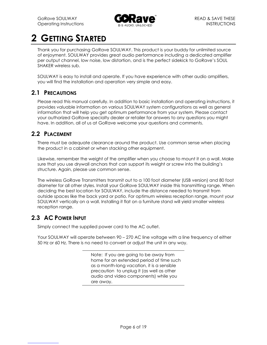

## **2 GETTING STARTED**

Thank you for purchasing GoRave SOULWAY. This product is your buddy for unlimited source of enjoyment. SOULWAY provides great audio performance including a dedicated amplifier per output channel, low noise, low distortion, and is the perfect sidekick to GoRave's SOUL SHAKER wireless sub.

SOULWAY is easy to install and operate. If you have experience with other audio amplifiers, you will find the installation and operation very simple and easy.

#### **2.1 PRECAUTIONS**

Please read this manual carefully. In addition to basic installation and operating instructions, it provides valuable information on various SOULWAY system configurations as well as general information that will help you get optimum performance from your system. Please contact your authorized GoRave specialty dealer or retailer for answers to any questions you might have. In addition, all of us at GoRave welcome your questions and comments.

#### **2.2 PLACEMENT**

There must be adequate clearance around the product. Use common sense when placing the product in a cabinet or when stacking other equipment.

Likewise, remember the weight of the amplifier when you choose to mount it on a wall. Make sure that you use drywall anchors that can support its weight or screw into the building's structure. Again, please use common sense.

The wireless GoRave Transmitters transmit out to a 100 foot diameter (USB version) and 80 foot diameter for all other styles. Install your GoRave SOULWAY inside this transmitting range. When deciding the best location for SOULWAY, include the distance needed to transmit from outside spaces like the back yard or patio. For optimum wireless reception range, mount your SOULWAY vertically on a wall. Installing it flat on a furniture stand will yield smaller wireless reception range.

#### **2.3 AC POWER INPUT**

Simply connect the supplied power cord to the AC outlet.

Your SOULWAY will operate between 90 – 270 AC line voltage with a line frequency of either 50 Hz or 60 Hz. There is no need to convert or adjust the unit in any way.

> Note: If you are going to be away from home for an extended period of time such as a month-long vacation, it is a sensible precaution to unplug it (as well as other audio and video components) while you are away.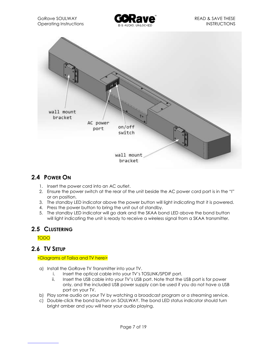



#### **2.4 POWER ON**

- 1. Insert the power cord into an AC outlet.
- 2. Ensure the power switch at the rear of the unit beside the AC power cord port is in the "I" or on position.
- 3. The standby LED indicator above the power button will light indicating that it is powered.
- 4. Press the power button to bring the unit out of standby.
- 5. The standby LED indicator will go dark and the SKAA bond LED above the bond button will light indicating the unit is ready to receive a wireless signal from a SKAA transmitter.

#### **2.5 CLUSTERING**

TODO

#### **2.6 TV SETUP**

#### <Diagrams of Talisa and TV here>

- a) Install the GoRave TV Transmitter into your TV.
	- i. Insert the optical cable into your TV's TOSLINK/SPDIF port.
	- ii. Insert the USB cable into your TV's USB port. Note that the USB port is for power only, and the included USB power supply can be used if you do not have a USB port on your TV.
- b) Play some audio on your TV by watching a broadcast program or a streaming service.
- c) Double-click the bond button on SOULWAY. The bond LED status indicator should turn bright amber and you will hear your audio playing.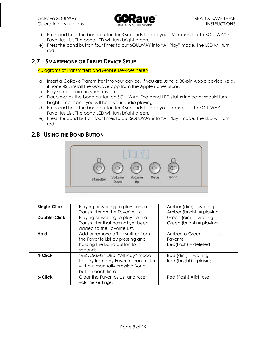GoRave SOULWAY **CONFIDENTIAL CONTRACT AND A SAVE THESE** Operating Instructions **INSTRUCTIONS INSTRUCTIONS** 



- d) Press and hold the bond button for 3 seconds to add your TV Transmitter to SOULWAY's Favorites List. The bond LED will turn bright green.
- e) Press the bond button four times to put SOULWAY into "All Play" mode. The LED will turn red.

#### **2.7 SMARTPHONE OR TABLET DEVICE SETUP**

<Diagrams of Transmitters and Mobile Devices here>

- a) Insert a GoRave Transmitter into your device. If you are using a 30-pin Apple device, (e.g. iPhone 4S), install the GoRave app from the Apple iTunes Store.
- b) Play some audio on your device.
- c) Double-click the bond button on SOULWAY. The bond LED status indicator should turn bright amber and you will hear your audio playing.
- d) Press and hold the bond button for 3 seconds to add your Transmitter to SOULWAY's Favorites List. The bond LED will turn bright green.
- e) Press the bond button four times to put SOULWAY into "All Play" mode. The LED will turn red.

#### **2.8 USING THE BOND BUTTON**



| Single-Click        | Playing or waiting to play from a<br>Transmitter on the Favorite List.                                                        | Amber $(dim) = waiting$<br>Amber (bright) = playing           |
|---------------------|-------------------------------------------------------------------------------------------------------------------------------|---------------------------------------------------------------|
| <b>Double-Click</b> | Playing or waiting to play from a<br>Transmitter that has not yet been<br>added to the Favorite List.                         | Green (dim) = waiting<br>Green (bright) = playing             |
| <b>Hold</b>         | Add or remove a Transmitter from<br>the Favorite List by pressing and<br>holding the Bond button for 4<br>seconds.            | Amber to Green = added<br>Favorite<br>$Red(flash) = deleteed$ |
| 4-Click             | *RECOMMENDED: "All Play" mode<br>to play from any Favorite Transmitter<br>without manually pressing Bond<br>button each time. | $Red$ (dim) = waiting<br>$Red (bright) = playing$             |
| 6-Click             | Clear the Favorites List and reset<br>volume settings.                                                                        | $Red (flash) = list reset$                                    |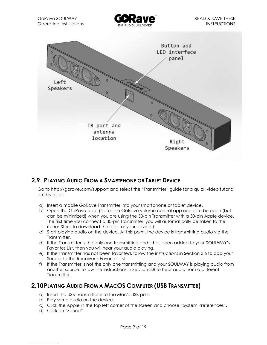



#### **2.9 PLAYING AUDIO FROM A SMARTPHONE OR TABLET DEVICE**

Go to http://gorave.com/support and select the "Transmitter" guide for a quick video tutorial on this topic.

- a) Insert a mobile GoRave Transmitter into your smartphone or tablet device.
- b) Open the GoRave app. (Note: the GoRave volume control app needs to be open (but can be minimized) when you are using the 30-pin Transmitter with a 30-pin Apple device. The first time you connect a 30-pin Transmitter, you will automatically be taken to the iTunes Store to download the app for your device.)
- c) Start playing audio on the device. At this point, the device is transmitting audio via the Transmitter.
- d) If the Transmitter is the only one transmitting and it has been added to your SOULWAY's Favorites List, then you will hear your audio playing.
- e) If the Transmitter has not been favorited, follow the instructions in Section 3.6 to add your Sender to the Receiver's Favorites List.
- f) If the Transmitter is not the only one transmitting and your SOULWAY is playing audio from another source, follow the instructions in Section 3.8 to hear audio from a different Transmitter.

#### **2.10PLAYING AUDIO FROM A MACOS COMPUTER (USB TRANSMITTER)**

- a) Insert the USB Transmitter into the Mac's USB port.
- b) Play some audio on the device.
- c) Click the Apple in the top left corner of the screen and choose "System Preferences".
- d) Click on "Sound".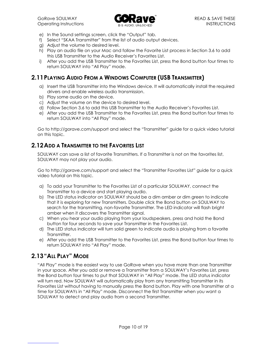

- e) In the Sound settings screen, click the "Output" tab.
- f) Select "SKAA Transmitter" from the list of audio output devices.
- g) Adjust the volume to desired level.
- h) Play an audio file on your Mac and follow the Favorite List process in Section 3.6 to add this USB Transmitter to the Audio Receiver's Favorites List.
- i) After you add the USB Transmitter to the Favorites List, press the Bond button four times to return SOULWAY into "All Play" mode.

#### **2.11PLAYING AUDIO FROM A WINDOWS COMPUTER (USB TRANSMITTER)**

- a) Insert the USB Transmitter into the Windows device. It will automatically install the required drivers and enable wireless audio transmission.
- b) Play some audio on the device.
- c) Adjust the volume on the device to desired level.
- d) Follow Section 3.6 to add this USB Transmitter to the Audio Receiver's Favorites List.
- e) After you add the USB Transmitter to the Favorites List, press the Bond button four times to return SOULWAY into "All Play" mode.

Go to http://gorave.com/support and select the "Transmitter" guide for a quick video tutorial on this topic.

#### **2.12ADD A TRANSMITTER TO THE FAVORITES LIST**

SOULWAY can save a list of favorite Transmitters. If a Transmitter is not on the favorites list, SOULWAY may not play your audio.

Go to http://gorave.com/support and select the "Transmitter Favorites List" guide for a quick video tutorial on this topic.

- a) To add your Transmitter to the Favorites List of a particular SOULWAY, connect the Transmitter to a device and start playing audio.
- b) The LED status indicator on SOULWAY should be a dim amber or dim green to indicate that it is exploring for new Transmitters. Double click the Bond button on SOULWAY to search for the transmitting, non-favorite Transmitter. The LED indicator will flash bright amber when it discovers the Transmitter signal.
- c) When you hear your audio playing from your loudspeakers, press and hold the Bond button for four seconds to save your Transmitter in the Favorites List.
- d) The LED status indicator will turn solid green to indicate audio is playing from a favorite Transmitter.
- e) After you add the USB Transmitter to the Favorites List, press the Bond button four times to return SOULWAY into "All Play" mode.

#### **2.13"ALL PLAY" MODE**

"All Play" mode is the easiest way to use GoRave when you have more than one Transmitter in your space. After you add or remove a Transmitter from a SOULWAY's Favorites List, press the Bond button four times to put that SOULWAY in "All Play" mode. The LED status indicator will turn red. Now SOULWAY will automatically play from any transmitting Transmitter in its Favorites List without having to manually press the Bond button. Play with one Transmitter at a time for SOULWAYs in "All Play" mode. Disconnect the first Transmitter when you want a SOULWAY to detect and play audio from a second Transmitter.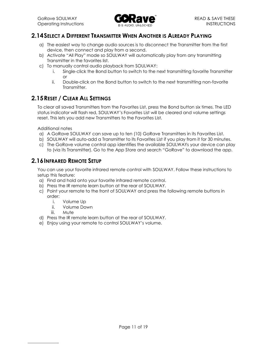

#### **2.14SELECT A DIFFERENT TRANSMITTER WHEN ANOTHER IS ALREADY PLAYING**

- a) The easiest way to change audio sources is to disconnect the Transmitter from the first device, then connect and play from a second.
- b) Activate "All Play" mode so SOULWAY will automatically play from any transmitting Transmitter in the favorites list.
- c) To manually control audio playback from SOULWAY:
	- i. Single-click the Bond button to switch to the next transmitting favorite Transmitter or
	- ii. Double-click on the Bond button to switch to the next transmitting non-favorite **Transmitter**

#### **2.15RESET / CLEAR ALL SETTINGS**

To clear all saved Transmitters from the Favorites List, press the Bond button six times. The LED status indicator will flash red, SOULWAY's Favorites List will be cleared and volume settings reset. This lets you add new Transmitters to the Favorites List.

Additional notes

- a) A GoRave SOULWAY can save up to ten (10) GoRave Transmitters in its Favorites List.
- b) SOULWAY will auto-add a Transmitter to its Favorites List if you play from it for 30 minutes.
- c) The GoRave volume control app identifies the available SOULWAYs your device can play to (via its Transmitter). Go to the App Store and search "GoRave" to download the app.

#### **2.16INFRARED REMOTE SETUP**

You can use your favorite infrared remote control with SOULWAY. Follow these instructions to setup this feature:

- a) Find and hold onto your favorite infrared remote control.
- b) Press the IR remote learn button at the rear of SOULWAY.
- c) Point your remote to the front of SOULWAY and press the following remote buttons in order:
	- i. Volume Up
	- ii. Volume Down
	- iii. Mute
- d) Press the IR remote learn button at the rear of SOULWAY.
- e) Enjoy using your remote to control SOULWAY's volume.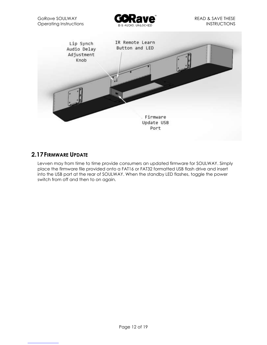

#### **2.17FIRMWARE UPDATE**

Levven may from time to time provide consumers an updated firmware for SOULWAY. Simply place the firmware file provided onto a FAT16 or FAT32 formatted USB flash drive and insert into the USB port at the rear of SOULWAY. When the standby LED flashes, toggle the power switch from off and then to on again.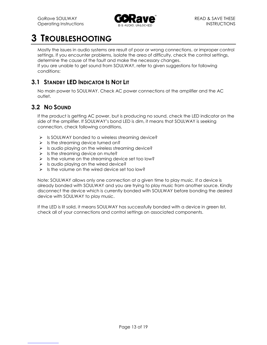

## **3 TROUBLESHOOTING**

Mostly the issues in audio systems are result of poor or wrong connections, or improper control settings. If you encounter problems, isolate the area of difficulty, check the control settings, determine the cause of the fault and make the necessary changes.

If you are unable to get sound from SOULWAY, refer to given suggestions for following conditions:

#### **3.1 STANDBY LED INDICATOR IS NOT LIT**

No main power to SOULWAY. Check AC power connections at the amplifier and the AC outlet.

#### **3.2 NO SOUND**

If the product is getting AC power, but is producing no sound, check the LED indicator on the side of the amplifier. If SOULWAY's bond LED is dim, it means that SOULWAY is seeking connection, check following conditions,

- $\triangleright$  Is SOULWAY bonded to a wireless streaming device?
- $\triangleright$  Is the streaming device turned on?
- $\triangleright$  Is audio playing on the wireless streaming device?
- $\triangleright$  Is the streaming device on mute?
- $\triangleright$  Is the volume on the streaming device set too low?
- $\triangleright$  Is audio playing on the wired device?
- $\triangleright$  Is the volume on the wired device set too low?

Note: SOULWAY allows only one connection at a given time to play music. If a device is already bonded with SOULWAY and you are trying to play music from another source. Kindly disconnect the device which is currently bonded with SOULWAY before bonding the desired device with SOULWAY to play music.

If the LED is lit solid, it means SOULWAY has successfully bonded with a device in green list, check all of your connections and control settings on associated components.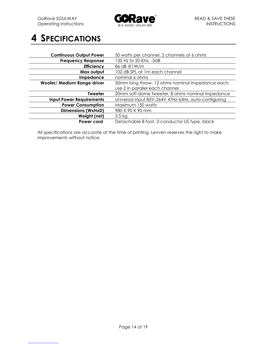

## **4 SPECIFICATIONS**

| <b>Continuous Output Power</b>  | 50 watts per channel, 2 channels at 6 ohms           |
|---------------------------------|------------------------------------------------------|
| <b>Frequency Response</b>       | 135 Hz to 20 KHz, -3dB                               |
| <b>Efficiency</b>               | 86 dB @1W/m                                          |
| Max output                      | 102 dB SPL at 1m each channel                        |
| Impedance                       | nominal 6 ohms                                       |
| Woofer/ Medium Range driver     | 50mm long throw, 12 ohms nominal impedance each,     |
|                                 | use 2 in parallel each channel                       |
| <b>Tweeter</b>                  | 20mm soft dome tweeter, 8 ohms nominal impedance     |
| <b>Input Power Requirements</b> | Universal input 85V-264V 47Hz-63Hz, auto-configuring |
| <b>Power Consumption</b>        | Maximum 150 watts                                    |
| <b>Dimensions (WxHxD)</b>       | 980 X 90 X 90 mm                                     |
| Weight (net)                    | $3.5 \text{ kg}$                                     |
| Power cord                      | Detachable 8 foot, 2-conductor US type, black        |

All specifications are accurate at the time of printing. Levven reserves the right to make improvements without notice.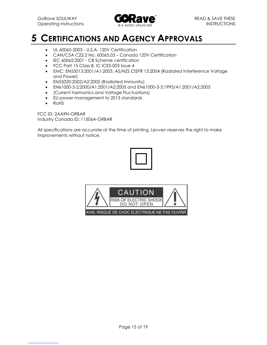

## **5 CERTIFICATIONS AND AGENCY APPROVALS**

- UL 60065-2003 U.S.A. 120V Certification
- CAN/CSA C22.2 No. 60065.03 Canada 120V Certification
- **IEC 60065:2001 CB Scheme certification**
- FCC Part 15 Class B, IC ICES-003 Issue 4
- EMC: EN55013:2001/A1:2003, AS/NZS CISPR 13:2004 (Radiated Interference Voltage and Power)
- EN55020:2002/A2:2005 (Radiated Immunity)
- EN61000-3-2:2000/A1:2001/A2:2005 and EN61000-3-3:1995/A1:2001/A2:2005
- (Current harmonics and Voltage Fluctuations)
- EU power management to 2013 standards
- RoHS

FCC ID: 2AA9N-GRBAR Industry Canada ID: 11506A-GRBAR

All specifications are accurate at the time of printing. Levven reserves the right to make improvements without notice.





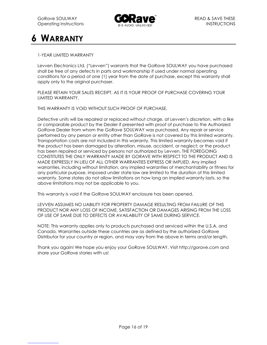

## **6 WARRANTY**

#### 1-YEAR LIMITED WARRANTY

Levven Electronics Ltd. ("Levven") warrants that the GoRave SOULWAY you have purchased shall be free of any defects in parts and workmanship if used under normal operating conditions for a period of one (1) year from the date of purchase, except this warranty shall apply only to the original purchaser.

PLEASE RETAIN YOUR SALES RECEIPT, AS IT IS YOUR PROOF OF PURCHASE COVERING YOUR LIMITED WARRANTY.

THIS WARRANTY IS VOID WITHOUT SUCH PROOF OF PURCHASE.

Defective units will be repaired or replaced without charge, at Levven's discretion, with a like or comparable product by the Dealer if presented with proof of purchase to the Authorized GoRave Dealer from whom the GoRave SOULWAY was purchased. Any repair or service performed by any person or entity other than GoRave is not covered by this limited warranty. Transportation costs are not included in this warranty. This limited warranty becomes void if the product has been damaged by alteration, misuse, accident, or neglect; or the product has been repaired or serviced by persons not authorized by Levven. THE FOREGOING CONSTITUTES THE ONLY WARRANTY MADE BY GORAVE WITH RESPECT TO THE PRODUCT AND IS MADE EXPRESSLY IN LIEU OF ALL OTHER WARRANTIES EXPRESS OR IMPLIED. Any implied warranties, including without limitation, any implied warranties of merchantability or fitness for any particular purpose, imposed under state law are limited to the duration of this limited warranty. Some states do not allow limitations on how long an implied warranty lasts, so the above limitations may not be applicable to you.

This warranty is void if the GoRave SOULWAY enclosure has been opened.

LEVVEN ASSUMES NO LIABILITY FOR PROPERTY DAMAGE RESULTING FROM FAILURE OF THIS PRODUCT NOR ANY LOSS OF INCOME, SATISFACTION OR DAMAGES ARISING FROM THE LOSS OF USE OF SAME DUE TO DEFECTS OR AVAILABILITY OF SAME DURING SERVICE.

NOTE: This warranty applies only to products purchased and serviced within the U.S.A. and Canada. Warranties outside these countries are as defined by the authorized GoRave Distributor for your country or region, and may vary from the above in terms and/or length.

Thank you again! We hope you enjoy your GoRave SOULWAY. Visit http://gorave.com and share your GoRave stories with us!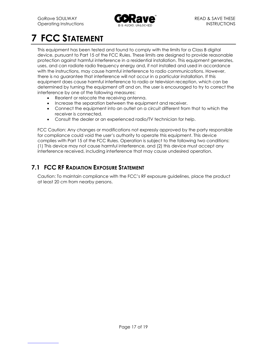

## **7 FCC STATEMENT**

This equipment has been tested and found to comply with the limits for a Class B digital device, pursuant to Part 15 of the FCC Rules. These limits are designed to provide reasonable protection against harmful interference in a residential installation. This equipment generates, uses, and can radiate radio frequency energy and, if not installed and used in accordance with the instructions, may cause harmful interference to radio communications. However, there is no guarantee that interference will not occur in a particular installation. If this equipment does cause harmful interference to radio or television reception, which can be determined by turning the equipment off and on, the user is encouraged to try to correct the interference by one of the following measures:

- Reorient or relocate the receiving antenna.
- Increase the separation between the equipment and receiver.
- Connect the equipment into an outlet on a circuit different from that to which the receiver is connected.
- Consult the dealer or an experienced radio/TV technician for help.

FCC Caution: Any changes or modifications not expressly approved by the party responsible for compliance could void the user's authority to operate this equipment. This device complies with Part 15 of the FCC Rules. Operation is subject to the following two conditions: (1) This device may not cause harmful interference, and (2) this device must accept any interference received, including interference that may cause undesired operation.

#### **7.1 FCC RF RADIATION EXPOSURE STATEMENT**

Caution: To maintain compliance with the FCC's RF exposure guidelines, place the product at least 20 cm from nearby persons.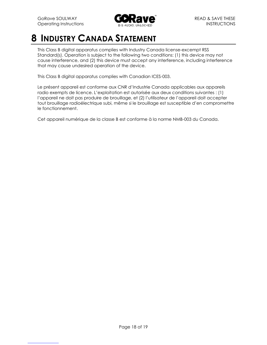

## **8 INDUSTRY CANADA STATEMENT**

This Class B digital apparatus complies with Industry Canada license-excempt RSS Standard(s). Operation is subject to the following two conditions: (1) this device may not cause interference, and (2) this device must accept any interference, including interference that may cause undesired operation of the device.

This Class B digital apparatus complies with Canadian ICES-003.

Le présent appareil est conforme aux CNR d'Industrie Canada applicables aux appareils radio exempts de licence. L'exploitation est autorisée aux deux conditions suivantes : (1) l'appareil ne doit pas produire de brouillage, et (2) l'utilisateur de l'appareil doit accepter tout brouillage radioélectrique subi, même si le brouillage est susceptible d'en compromettre le fonctionnement.

Cet appareil numérique de la classe B est conforme à la norme NMB-003 du Canada.